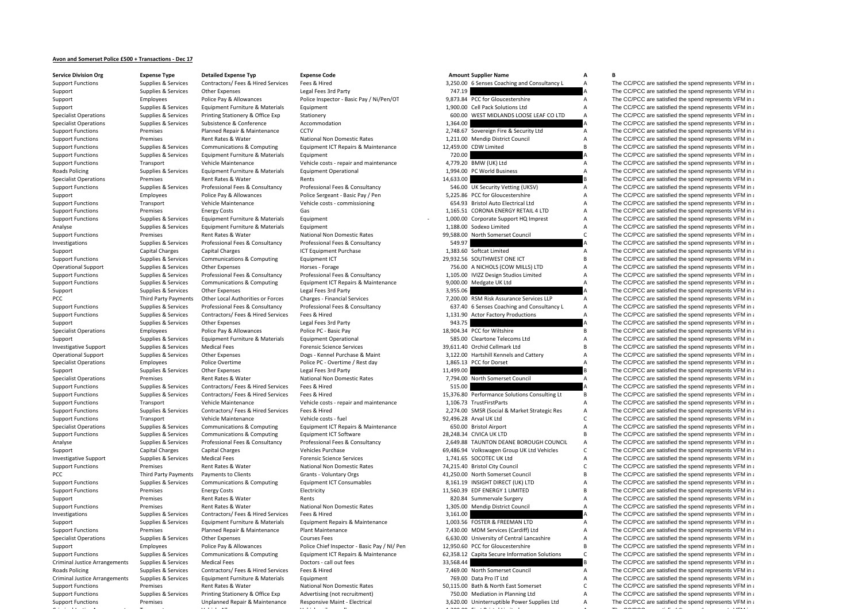## **Avon and Somerset Police £500 <sup>+</sup> Transactions ‐ Dec 17**

| <b>Service Division Org</b>          | <b>Expense Type</b>         | <b>Detailed Expense Typ</b>        | <b>Expense Code</b>                          |           | <b>Amount Supplier Name</b>                   | А              | В                                                      |
|--------------------------------------|-----------------------------|------------------------------------|----------------------------------------------|-----------|-----------------------------------------------|----------------|--------------------------------------------------------|
| <b>Support Functions</b>             | Supplies & Services         | Contractors/ Fees & Hired Services | Fees & Hired                                 |           | 3,250.00 6 Senses Coaching and Consultancy L  | A              | The CC/PCC are satisfied the spend represents VFM in a |
| Support                              | Supplies & Services         | Other Expenses                     | Legal Fees 3rd Party                         | 747.19    |                                               |                | The CC/PCC are satisfied the spend represents VFM in a |
| Support                              | Employees                   | Police Pay & Allowances            | Police Inspector - Basic Pay / Ni/Pen/OT     |           | 9,873.84 PCC for Gloucestershire              | $\overline{A}$ | The CC/PCC are satisfied the spend represents VFM in a |
|                                      |                             |                                    |                                              |           |                                               |                |                                                        |
| Support                              | Supplies & Services         | Equipment Furniture & Materials    | Equipment                                    |           | 1,900.00 Cell Pack Solutions Ltd              | Α              | The CC/PCC are satisfied the spend represents VFM in a |
| <b>Specialist Operations</b>         | Supplies & Services         | Printing Stationery & Office Exp   | Stationery                                   |           | 600.00 WEST MIDLANDS LOOSE LEAF CO LTD        | $\overline{A}$ | The CC/PCC are satisfied the spend represents VFM in a |
| <b>Specialist Operations</b>         | Supplies & Services         | Subsistence & Conference           | Accommodation                                | 1,364.00  |                                               |                | The CC/PCC are satisfied the spend represents VFM in a |
| <b>Support Functions</b>             | Premises                    | Planned Repair & Maintenance       | CCTV                                         |           | 2,748.67 Sovereign Fire & Security Ltd        | Α              | The CC/PCC are satisfied the spend represents VFM in a |
| <b>Support Functions</b>             | Premises                    | Rent Rates & Water                 | National Non Domestic Rates                  |           | 1,211.00 Mendip District Council              | Α              | The CC/PCC are satisfied the spend represents VFM in a |
|                                      |                             |                                    |                                              |           |                                               |                |                                                        |
| <b>Support Functions</b>             | Supplies & Services         | Communications & Computing         | Equipment ICT Repairs & Maintenance          |           | 12,459.00 CDW Limited                         | B              | The CC/PCC are satisfied the spend represents VFM in a |
| <b>Support Functions</b>             | Supplies & Services         | Equipment Furniture & Materials    | Equipment                                    | 720.00    |                                               |                | The CC/PCC are satisfied the spend represents VFM in a |
| <b>Support Functions</b>             | Transport                   | Vehicle Maintenance                | Vehicle costs - repair and maintenance       |           | 4,779.20 BMW (UK) Ltd                         | A              | The CC/PCC are satisfied the spend represents VFM in a |
| Roads Policing                       | Supplies & Services         | Equipment Furniture & Materials    | <b>Equipment Operational</b>                 |           | 1,994.00 PC World Business                    | Α              | The CC/PCC are satisfied the spend represents VFM in a |
|                                      |                             |                                    |                                              | 14.633.00 |                                               |                | The CC/PCC are satisfied the spend represents VFM in a |
| <b>Specialist Operations</b>         | Premises                    | Rent Rates & Water                 | Rents                                        |           |                                               |                |                                                        |
| <b>Support Functions</b>             | Supplies & Services         | Professional Fees & Consultancy    | Professional Fees & Consultancy              |           | 546.00 UK Security Vetting (UKSV)             | Α              | The CC/PCC are satisfied the spend represents VFM in a |
| Support                              | Employees                   | Police Pay & Allowances            | Police Sergeant - Basic Pay / Pen            |           | 5,225.86 PCC for Gloucestershire              | Α              | The CC/PCC are satisfied the spend represents VFM in a |
| <b>Support Functions</b>             | Transport                   | Vehicle Maintenance                | Vehicle costs - commissioning                |           | 654.93 Bristol Auto Electrical Ltd            | Α              | The CC/PCC are satisfied the spend represents VFM in a |
| <b>Support Functions</b>             | Premises                    | <b>Energy Costs</b>                | Gas                                          |           | 1,165.51 CORONA ENERGY RETAIL 4 LTD           | Α              | The CC/PCC are satisfied the spend represents VFM in a |
|                                      |                             |                                    |                                              |           |                                               |                |                                                        |
| <b>Support Functions</b>             | Supplies & Services         | Equipment Furniture & Materials    | Equipment                                    |           | 1,000.00 Corporate Support HQ Imprest         | Α              | The CC/PCC are satisfied the spend represents VFM in a |
| Analyse                              | Supplies & Services         | Equipment Furniture & Materials    | Equipment                                    |           | 1,188.00 Sodexo Limited                       | Α              | The CC/PCC are satisfied the spend represents VFM in a |
| <b>Support Functions</b>             | Premises                    | Rent Rates & Water                 | National Non Domestic Rates                  |           | 99,588.00 North Somerset Council              | $\mathsf{C}$   | The CC/PCC are satisfied the spend represents VFM in a |
| Investigations                       | Supplies & Services         | Professional Fees & Consultancy    | Professional Fees & Consultancy              | 549.97    |                                               |                | The CC/PCC are satisfied the spend represents VFM in a |
|                                      |                             |                                    |                                              |           | 1,383.60 Softcat Limited                      |                |                                                        |
| Support                              | Capital Charges             | <b>Capital Charges</b>             | ICT Equipment Purchase                       |           |                                               | Α              | The CC/PCC are satisfied the spend represents VFM in a |
| <b>Support Functions</b>             | Supplies & Services         | Communications & Computing         | Equipment ICT                                |           | 29,932.56 SOUTHWEST ONE ICT                   | B              | The CC/PCC are satisfied the spend represents VFM in a |
| <b>Operational Support</b>           | Supplies & Services         | Other Expenses                     | Horses - Forage                              |           | 756.00 A NICHOLS (COW MILLS) LTD              | Α              | The CC/PCC are satisfied the spend represents VFM in a |
| <b>Support Functions</b>             | Supplies & Services         | Professional Fees & Consultancy    | Professional Fees & Consultancy              |           | 1,105.00 IVIZZ Design Studios Limited         | Α              | The CC/PCC are satisfied the spend represents VFM in a |
|                                      |                             |                                    |                                              |           | 9,000.00 Medgate UK Ltd                       | Α              | The CC/PCC are satisfied the spend represents VFM in a |
| <b>Support Functions</b>             | Supplies & Services         | Communications & Computing         | Equipment ICT Repairs & Maintenance          |           |                                               |                |                                                        |
| Support                              | Supplies & Services         | Other Expenses                     | Legal Fees 3rd Party                         | 3,955.06  |                                               |                | The CC/PCC are satisfied the spend represents VFM in a |
| PCC                                  | Third Party Payments        | Other Local Authorities or Forces  | Charges - Financial Services                 |           | 7,200.00 RSM Risk Assurance Services LLP      | Α              | The CC/PCC are satisfied the spend represents VFM in a |
| <b>Support Functions</b>             | Supplies & Services         | Professional Fees & Consultancy    | Professional Fees & Consultancy              |           | 637.40 6 Senses Coaching and Consultancy L    | Α              | The CC/PCC are satisfied the spend represents VFM in a |
| <b>Support Functions</b>             | Supplies & Services         | Contractors/ Fees & Hired Services | Fees & Hired                                 |           | 1,131.90 Actor Factory Productions            | Α              | The CC/PCC are satisfied the spend represents VFM in a |
|                                      |                             |                                    |                                              |           |                                               |                |                                                        |
| Support                              | Supplies & Services         | Other Expenses                     | Legal Fees 3rd Party                         | 943.75    |                                               |                | The CC/PCC are satisfied the spend represents VFM in a |
| <b>Specialist Operations</b>         | Employees                   | Police Pay & Allowances            | Police PC - Basic Pay                        |           | 18,904.34 PCC for Wiltshire                   | B              | The CC/PCC are satisfied the spend represents VFM in a |
| Support                              | Supplies & Services         | Equipment Furniture & Materials    | <b>Equipment Operational</b>                 |           | 585.00 Cleartone Telecoms Ltd                 | Α              | The CC/PCC are satisfied the spend represents VFM in a |
| <b>Investigative Support</b>         | Supplies & Services         | <b>Medical Fees</b>                | <b>Forensic Science Services</b>             |           | 39,611.40 Orchid Cellmark Ltd                 | B              | The CC/PCC are satisfied the spend represents VFM in a |
|                                      |                             |                                    |                                              |           |                                               |                |                                                        |
| Operational Support                  | Supplies & Services         | Other Expenses                     | Dogs - Kennel Purchase & Maint               |           | 3,122.00 Hartshill Kennels and Cattery        | Α              | The CC/PCC are satisfied the spend represents VFM in a |
| <b>Specialist Operations</b>         | Employees                   | Police Overtime                    | Police PC - Overtime / Rest day              |           | 1,865.13 PCC for Dorset                       | $\overline{A}$ | The CC/PCC are satisfied the spend represents VFM in a |
| Support                              | Supplies & Services         | Other Expenses                     | Legal Fees 3rd Party                         | 11,499.00 |                                               |                | The CC/PCC are satisfied the spend represents VFM in a |
| <b>Specialist Operations</b>         | Premises                    | Rent Rates & Water                 | National Non Domestic Rates                  |           | 7,794.00 North Somerset Council               | Α              | The CC/PCC are satisfied the spend represents VFM in a |
|                                      |                             |                                    | Fees & Hired                                 |           |                                               |                | The CC/PCC are satisfied the spend represents VFM in a |
| <b>Support Functions</b>             | Supplies & Services         | Contractors/ Fees & Hired Services |                                              | 515.00    |                                               |                |                                                        |
| <b>Support Functions</b>             | Supplies & Services         | Contractors/ Fees & Hired Services | Fees & Hired                                 |           | 15,376.80 Performance Solutions Consulting Lt | B              | The CC/PCC are satisfied the spend represents VFM in a |
| <b>Support Functions</b>             | Transport                   | Vehicle Maintenance                | Vehicle costs - repair and maintenance       |           | 1,106.73 TrustFirstParts                      | Α              | The CC/PCC are satisfied the spend represents VFM in a |
| <b>Support Functions</b>             | Supplies & Services         | Contractors/ Fees & Hired Services | Fees & Hired                                 |           | 2,274.00 SMSR (Social & Market Strategic Res  | Α              | The CC/PCC are satisfied the spend represents VFM in a |
| <b>Support Functions</b>             | Transport                   | Vehicle Maintenance                | Vehicle costs - fuel                         |           | 92,496.28 Arval UK Ltd                        | $\mathsf{C}$   | The CC/PCC are satisfied the spend represents VFM in a |
|                                      |                             |                                    |                                              |           |                                               |                |                                                        |
| <b>Specialist Operations</b>         | Supplies & Services         | Communications & Computing         | Equipment ICT Repairs & Maintenance          |           | 650.00 Bristol Airport                        | Α              | The CC/PCC are satisfied the spend represents VFM in a |
| <b>Support Functions</b>             | Supplies & Services         | Communications & Computing         | Equipment ICT Software                       |           | 28,248.34 CIVICA UK LTD                       | B              | The CC/PCC are satisfied the spend represents VFM in a |
| Analyse                              | Supplies & Services         | Professional Fees & Consultancy    | Professional Fees & Consultancy              |           | 2,649.88 TAUNTON DEANE BOROUGH COUNCIL        | Α              | The CC/PCC are satisfied the spend represents VFM in a |
| Support                              | Capital Charges             | Capital Charges                    | Vehicles Purchase                            |           | 69,486.94 Volkswagen Group UK Ltd Vehicles    | $\mathsf{C}$   | The CC/PCC are satisfied the spend represents VFM in a |
|                                      |                             | <b>Medical Fees</b>                | <b>Forensic Science Services</b>             |           | 1,741.65 SOCOTEC UK Ltd                       | Α              |                                                        |
| <b>Investigative Support</b>         | Supplies & Services         |                                    |                                              |           |                                               |                | The CC/PCC are satisfied the spend represents VFM in a |
| <b>Support Functions</b>             | Premises                    | Rent Rates & Water                 | National Non Domestic Rates                  |           | 74,215.40 Bristol City Council                | $\mathsf{C}$   | The CC/PCC are satisfied the spend represents VFM in a |
| PCC                                  | <b>Third Party Payments</b> | Payments to Clients                | Grants - Voluntary Orgs                      |           | 41,250.00 North Somerset Council              | $\, {\sf B}$   | The CC/PCC are satisfied the spend represents VFM in a |
| <b>Support Functions</b>             | Supplies & Services         | Communications & Computing         | <b>Equipment ICT Consumables</b>             |           | 8,161.19 INSIGHT DIRECT (UK) LTD              | Α              | The CC/PCC are satisfied the spend represents VFM in a |
| <b>Support Functions</b>             | Premises                    | <b>Energy Costs</b>                | Electricity                                  |           | 11,560.39 EDF ENERGY 1 LIMITED                | B              | The CC/PCC are satisfied the spend represents VFM in a |
|                                      |                             |                                    |                                              |           |                                               |                |                                                        |
| Support                              | Premises                    | Rent Rates & Water                 | Rents                                        |           | 820.84 Summervale Surgery                     | Α              | The CC/PCC are satisfied the spend represents VFM in a |
| <b>Support Functions</b>             | Premises                    | Rent Rates & Water                 | <b>National Non Domestic Rates</b>           |           | 1,305.00 Mendip District Council              | $\overline{A}$ | The CC/PCC are satisfied the spend represents VFM in a |
| Investigations                       | Supplies & Services         | Contractors/ Fees & Hired Services | Fees & Hired                                 | 3,161.00  |                                               |                | The CC/PCC are satisfied the spend represents VFM in a |
| Support                              | Supplies & Services         | Equipment Furniture & Materials    | Equipment Repairs & Maintenance              |           | 1,003.56 FOSTER & FREEMAN LTD                 | Α              | The CC/PCC are satisfied the spend represents VFM in a |
|                                      |                             |                                    |                                              |           |                                               |                |                                                        |
| <b>Support Functions</b>             | Premises                    | Planned Repair & Maintenance       | Plant Maintenance                            |           | 7,430.00 MDM Services (Cardiff) Ltd           | Α              | The CC/PCC are satisfied the spend represents VFM in a |
| <b>Specialist Operations</b>         | Supplies & Services         | Other Expenses                     | <b>Courses Fees</b>                          |           | 6,630.00 University of Central Lancashire     | Α              | The CC/PCC are satisfied the spend represents VFM in a |
| Support                              | Employees                   | Police Pay & Allowances            | Police Chief Inspector - Basic Pay / NI/ Pen |           | 12,950.60 PCC for Gloucestershire             | B              | The CC/PCC are satisfied the spend represents VFM in a |
| <b>Support Functions</b>             | Supplies & Services         | Communications & Computing         | Equipment ICT Repairs & Maintenance          |           | 62,358.12 Capita Secure Information Solutions | $\mathsf{C}$   | The CC/PCC are satisfied the spend represents VFM in a |
| <b>Criminal Justice Arrangements</b> |                             |                                    | Doctors - call out fees                      |           |                                               |                |                                                        |
|                                      | Supplies & Services         | <b>Medical Fees</b>                |                                              | 33,568.44 |                                               |                | The CC/PCC are satisfied the spend represents VFM in a |
| Roads Policing                       | Supplies & Services         | Contractors/ Fees & Hired Services | Fees & Hired                                 |           | 7,469.00 North Somerset Council               | Α              | The CC/PCC are satisfied the spend represents VFM in a |
| <b>Criminal Justice Arrangements</b> | Supplies & Services         | Equipment Furniture & Materials    | Equipment                                    |           | 769.00 Data Pro IT Ltd                        | Α              | The CC/PCC are satisfied the spend represents VFM in a |
| <b>Support Functions</b>             | Premises                    | Rent Rates & Water                 | National Non Domestic Rates                  |           | 50,115.00 Bath & North East Somerset          | c              | The CC/PCC are satisfied the spend represents VFM in a |
| <b>Support Functions</b>             | Supplies & Services         | Printing Stationery & Office Exp   | Advertising (not recruitment)                |           | 750.00 Mediation in Planning Ltd              | Α              | The CC/PCC are satisfied the spend represents VFM in a |
|                                      |                             |                                    |                                              |           |                                               |                |                                                        |
| <b>Support Functions</b>             | Premises                    | Unplanned Repair & Maintenance     | Responsive Maint - Electrical                |           | 3,620.00 Uninterruptible Power Supplies Ltd   | Α              | The CC/PCC are satisfied the spend represents VFM in a |
|                                      |                             |                                    |                                              |           |                                               |                |                                                        |

## The CC/PCC are satisfied the spend represents VFM in a  $\blacksquare$  The Company is the the contract of the theory is the three than  $\blacksquare$